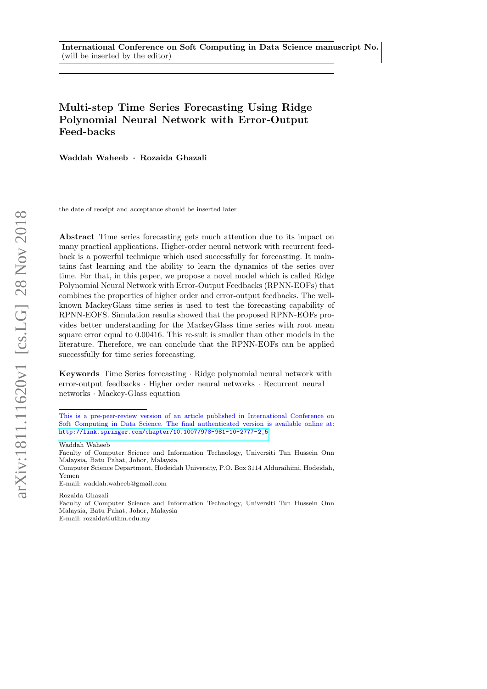# Multi-step Time Series Forecasting Using Ridge Polynomial Neural Network with Error-Output Feed-backs

Waddah Waheeb · Rozaida Ghazali

the date of receipt and acceptance should be inserted later

Abstract Time series forecasting gets much attention due to its impact on many practical applications. Higher-order neural network with recurrent feedback is a powerful technique which used successfully for forecasting. It maintains fast learning and the ability to learn the dynamics of the series over time. For that, in this paper, we propose a novel model which is called Ridge Polynomial Neural Network with Error-Output Feedbacks (RPNN-EOFs) that combines the properties of higher order and error-output feedbacks. The wellknown MackeyGlass time series is used to test the forecasting capability of RPNN-EOFS. Simulation results showed that the proposed RPNN-EOFs provides better understanding for the MackeyGlass time series with root mean square error equal to 0.00416. This re-sult is smaller than other models in the literature. Therefore, we can conclude that the RPNN-EOFs can be applied successfully for time series forecasting.

Keywords Time Series forecasting · Ridge polynomial neural network with error-output feedbacks · Higher order neural networks · Recurrent neural networks · Mackey-Glass equation

Waddah Waheeb

E-mail: waddah.waheeb@gmail.com

Rozaida Ghazali

E-mail: rozaida@uthm.edu.my

This is a pre-peer-review version of an article published in International Conference on Soft Computing in Data Science. The final authenticated version is available online at: [http://link.springer.com/chapter/10.1007/978-981-10-2777-2\\_5](http://link.springer.com/chapter/10.1007/978-981-10-2777-2_5)

Faculty of Computer Science and Information Technology, Universiti Tun Hussein Onn Malaysia, Batu Pahat, Johor, Malaysia

Computer Science Department, Hodeidah University, P.O. Box 3114 Alduraihimi, Hodeidah, Yemen

Faculty of Computer Science and Information Technology, Universiti Tun Hussein Onn Malaysia, Batu Pahat, Johor, Malaysia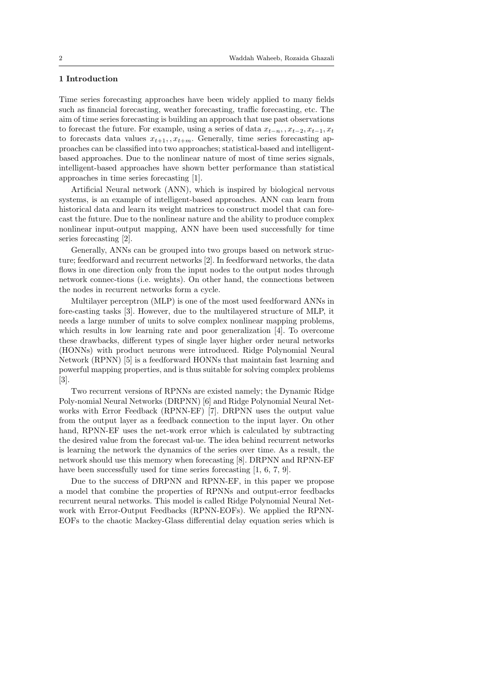## 1 Introduction

Time series forecasting approaches have been widely applied to many fields such as financial forecasting, weather forecasting, traffic forecasting, etc. The aim of time series forecasting is building an approach that use past observations to forecast the future. For example, using a series of data  $x_{t-n}$ , ,  $x_{t-2}$ ,  $x_{t-1}$ ,  $x_t$ to forecasts data values  $x_{t+1}, x_{t+m}$ . Generally, time series forecasting approaches can be classified into two approaches; statistical-based and intelligentbased approaches. Due to the nonlinear nature of most of time series signals, intelligent-based approaches have shown better performance than statistical approaches in time series forecasting [1].

Artificial Neural network (ANN), which is inspired by biological nervous systems, is an example of intelligent-based approaches. ANN can learn from historical data and learn its weight matrices to construct model that can forecast the future. Due to the nonlinear nature and the ability to produce complex nonlinear input-output mapping, ANN have been used successfully for time series forecasting [2].

Generally, ANNs can be grouped into two groups based on network structure; feedforward and recurrent networks [2]. In feedforward networks, the data flows in one direction only from the input nodes to the output nodes through network connec-tions (i.e. weights). On other hand, the connections between the nodes in recurrent networks form a cycle.

Multilayer perceptron (MLP) is one of the most used feedforward ANNs in fore-casting tasks [3]. However, due to the multilayered structure of MLP, it needs a large number of units to solve complex nonlinear mapping problems, which results in low learning rate and poor generalization [4]. To overcome these drawbacks, different types of single layer higher order neural networks (HONNs) with product neurons were introduced. Ridge Polynomial Neural Network (RPNN) [5] is a feedforward HONNs that maintain fast learning and powerful mapping properties, and is thus suitable for solving complex problems [3].

Two recurrent versions of RPNNs are existed namely; the Dynamic Ridge Poly-nomial Neural Networks (DRPNN) [6] and Ridge Polynomial Neural Networks with Error Feedback (RPNN-EF) [7]. DRPNN uses the output value from the output layer as a feedback connection to the input layer. On other hand, RPNN-EF uses the net-work error which is calculated by subtracting the desired value from the forecast val-ue. The idea behind recurrent networks is learning the network the dynamics of the series over time. As a result, the network should use this memory when forecasting [8]. DRPNN and RPNN-EF have been successfully used for time series forecasting [1, 6, 7, 9].

Due to the success of DRPNN and RPNN-EF, in this paper we propose a model that combine the properties of RPNNs and output-error feedbacks recurrent neural networks. This model is called Ridge Polynomial Neural Network with Error-Output Feedbacks (RPNN-EOFs). We applied the RPNN-EOFs to the chaotic Mackey-Glass differential delay equation series which is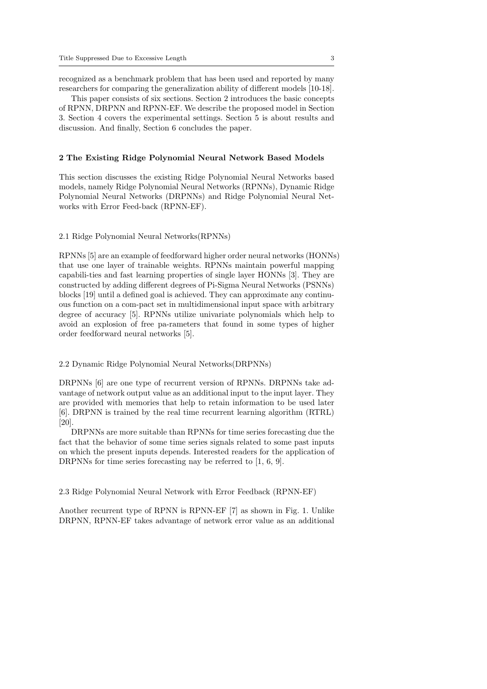recognized as a benchmark problem that has been used and reported by many researchers for comparing the generalization ability of different models [10-18].

This paper consists of six sections. Section 2 introduces the basic concepts of RPNN, DRPNN and RPNN-EF. We describe the proposed model in Section 3. Section 4 covers the experimental settings. Section 5 is about results and discussion. And finally, Section 6 concludes the paper.

#### 2 The Existing Ridge Polynomial Neural Network Based Models

This section discusses the existing Ridge Polynomial Neural Networks based models, namely Ridge Polynomial Neural Networks (RPNNs), Dynamic Ridge Polynomial Neural Networks (DRPNNs) and Ridge Polynomial Neural Networks with Error Feed-back (RPNN-EF).

### 2.1 Ridge Polynomial Neural Networks(RPNNs)

RPNNs [5] are an example of feedforward higher order neural networks (HONNs) that use one layer of trainable weights. RPNNs maintain powerful mapping capabili-ties and fast learning properties of single layer HONNs [3]. They are constructed by adding different degrees of Pi-Sigma Neural Networks (PSNNs) blocks [19] until a defined goal is achieved. They can approximate any continuous function on a com-pact set in multidimensional input space with arbitrary degree of accuracy [5]. RPNNs utilize univariate polynomials which help to avoid an explosion of free pa-rameters that found in some types of higher order feedforward neural networks [5].

#### 2.2 Dynamic Ridge Polynomial Neural Networks(DRPNNs)

DRPNNs [6] are one type of recurrent version of RPNNs. DRPNNs take advantage of network output value as an additional input to the input layer. They are provided with memories that help to retain information to be used later [6]. DRPNN is trained by the real time recurrent learning algorithm (RTRL) [20].

DRPNNs are more suitable than RPNNs for time series forecasting due the fact that the behavior of some time series signals related to some past inputs on which the present inputs depends. Interested readers for the application of DRPNNs for time series forecasting nay be referred to [1, 6, 9].

2.3 Ridge Polynomial Neural Network with Error Feedback (RPNN-EF)

Another recurrent type of RPNN is RPNN-EF [7] as shown in Fig. 1. Unlike DRPNN, RPNN-EF takes advantage of network error value as an additional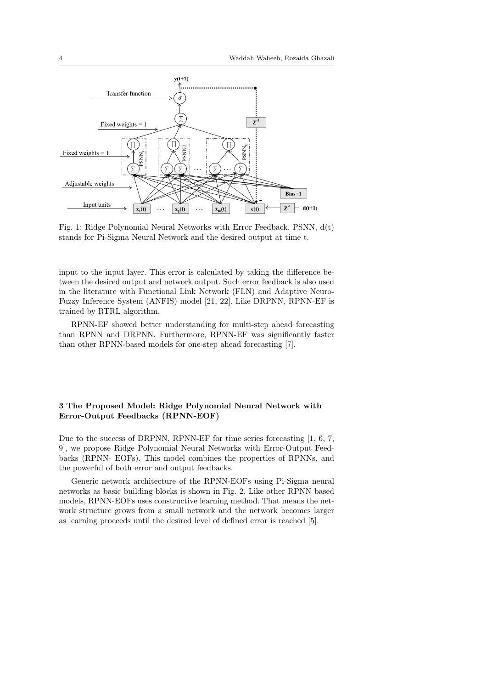

Fig. 1: Ridge Polynomial Neural Networks with Error Feedback. PSNN, d(t) stands for Pi-Sigma Neural Network and the desired output at time t.

input to the input layer. This error is calculated by taking the difference between the desired output and network output. Such error feedback is also used in the literature with Functional Link Network (FLN) and Adaptive Neuro-Fuzzy Inference System (ANFIS) model [21, 22]. Like DRPNN, RPNN-EF is trained by RTRL algorithm.

RPNN-EF showed better understanding for multi-step ahead forecasting than RPNN and DRPNN. Furthermore, RPNN-EF was significantly faster than other RPNN-based models for one-step ahead forecasting [7].

## 3 The Proposed Model: Ridge Polynomial Neural Network with Error-Output Feedbacks (RPNN-EOF)

Due to the success of DRPNN, RPNN-EF for time series forecasting [1, 6, 7, 9], we propose Ridge Polynomial Neural Networks with Error-Output Feedbacks (RPNN- EOFs). This model combines the properties of RPNNs, and the powerful of both error and output feedbacks.

Generic network architecture of the RPNN-EOFs using Pi-Sigma neural networks as basic building blocks is shown in Fig. 2. Like other RPNN based models, RPNN-EOFs uses constructive learning method. That means the network structure grows from a small network and the network becomes larger as learning proceeds until the desired level of defined error is reached [5].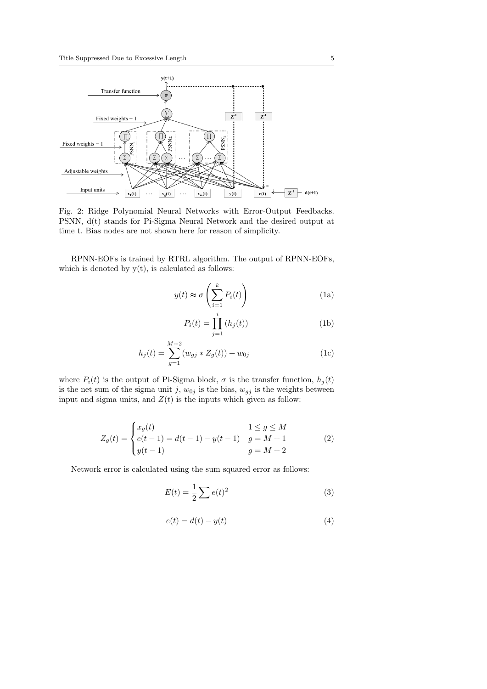

Fig. 2: Ridge Polynomial Neural Networks with Error-Output Feedbacks. PSNN, d(t) stands for Pi-Sigma Neural Network and the desired output at time t. Bias nodes are not shown here for reason of simplicity.

RPNN-EOFs is trained by RTRL algorithm. The output of RPNN-EOFs, which is denoted by  $y(t)$ , is calculated as follows:

$$
y(t) \approx \sigma\left(\sum_{i=1}^{k} P_i(t)\right) \tag{1a}
$$

$$
P_i(t) = \prod_{j=1}^{i} (h_j(t))
$$
 (1b)

$$
h_j(t) = \sum_{g=1}^{M+2} (w_{gj} * Z_g(t)) + w_{0j}
$$
 (1c)

where  $P_i(t)$  is the output of Pi-Sigma block,  $\sigma$  is the transfer function,  $h_j(t)$ is the net sum of the sigma unit j,  $w_{0j}$  is the bias,  $w_{jj}$  is the weights between input and sigma units, and  $Z(t)$  is the inputs which given as follow:

$$
Z_g(t) = \begin{cases} x_g(t) & 1 \le g \le M \\ e(t-1) = d(t-1) - y(t-1) & g = M+1 \\ y(t-1) & g = M+2 \end{cases}
$$
 (2)

Network error is calculated using the sum squared error as follows:

$$
E(t) = \frac{1}{2} \sum e(t)^2
$$
\n(3)

$$
e(t) = d(t) - y(t)
$$
\n<sup>(4)</sup>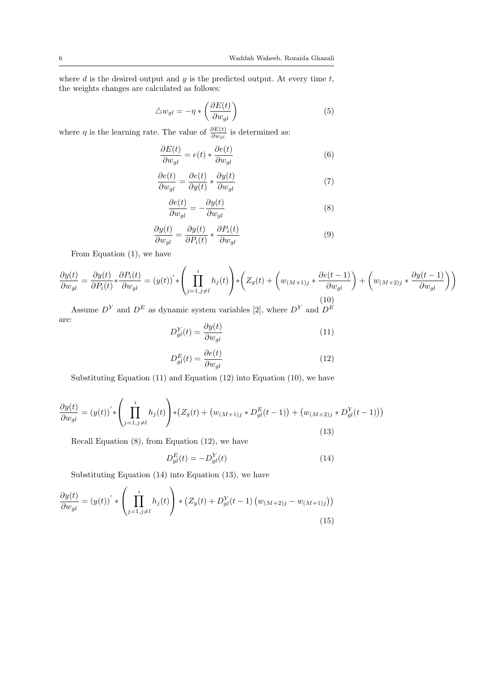where  $d$  is the desired output and  $y$  is the predicted output. At every time  $t$ , the weights changes are calculated as follows:

$$
\triangle w_{gl} = -\eta * \left(\frac{\partial E(t)}{\partial w_{gl}}\right) \tag{5}
$$

where  $\eta$  is the learning rate. The value of  $\frac{\partial E(t)}{\partial w_{gl}}$  is determined as:

$$
\frac{\partial E(t)}{\partial w_{gl}} = e(t) * \frac{\partial e(t)}{\partial w_{gl}} \tag{6}
$$

$$
\frac{\partial e(t)}{\partial w_{gl}} = \frac{\partial e(t)}{\partial y(t)} * \frac{\partial y(t)}{\partial w_{gl}} \tag{7}
$$

$$
\frac{\partial e(t)}{\partial w_{gl}} = -\frac{\partial y(t)}{\partial w_{gl}}\tag{8}
$$

$$
\frac{\partial y(t)}{\partial w_{gl}} = \frac{\partial y(t)}{\partial P_i(t)} * \frac{\partial P_i(t)}{\partial w_{gl}} \tag{9}
$$

From Equation (1), we have

$$
\frac{\partial y(t)}{\partial w_{gl}} = \frac{\partial y(t)}{\partial P_i(t)} * \frac{\partial P_i(t)}{\partial w_{gl}} = (y(t))' * \left(\prod_{j=1, j \neq l}^{i} h_j(t)\right) * \left(Z_g(t) + \left(w_{(M+1)j} * \frac{\partial e(t-1)}{\partial w_{gl}}\right) + \left(w_{(M+2)j} * \frac{\partial y(t-1)}{\partial w_{gl}}\right)\right)
$$
\n(10)

Assume  $D<sup>Y</sup>$  and  $D<sup>E</sup>$  as dynamic system variables [2], where  $D<sup>Y</sup>$  and  $D<sup>E</sup>$ are:

$$
D_{gl}^{Y}(t) = \frac{\partial y(t)}{\partial w_{gl}} \tag{11}
$$

$$
D_{gl}^{E}(t) = \frac{\partial e(t)}{\partial w_{gl}} \tag{12}
$$

Substituting Equation (11) and Equation (12) into Equation (10), we have

$$
\frac{\partial y(t)}{\partial w_{gl}} = (y(t))^{'} \ast \left( \prod_{j=1, j \neq l}^{i} h_j(t) \right) \ast (Z_g(t) + (w_{(M+1)j} \ast D_{gl}^{E}(t-1)) + (w_{(M+2)j} \ast D_{gl}^{Y}(t-1)))
$$
\n(13)

Recall Equation (8), from Equation (12), we have

$$
D_{gl}^{E}(t) = -D_{gl}^{Y}(t)
$$
\n
$$
(14)
$$

Substituting Equation (14) into Equation (13), we have

$$
\frac{\partial y(t)}{\partial w_{gl}} = (y(t))' * \left(\prod_{j=1, j \neq l}^{i} h_j(t)\right) * \left(Z_g(t) + D_{gl}^Y(t-1) \left(w_{(M+2)j} - w_{(M+1)j}\right)\right)
$$
\n(15)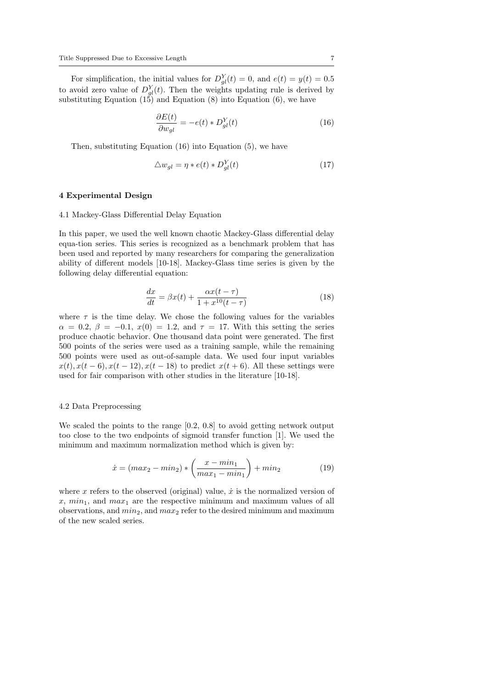For simplification, the initial values for  $D_{gl}^{Y}(t) = 0$ , and  $e(t) = y(t) = 0.5$ to avoid zero value of  $D_{gl}^{Y}(t)$ . Then the weights updating rule is derived by substituting Equation  $(15)$  and Equation  $(8)$  into Equation  $(6)$ , we have

$$
\frac{\partial E(t)}{\partial w_{gl}} = -e(t) * D_{gl}^{Y}(t)
$$
\n(16)

Then, substituting Equation (16) into Equation (5), we have

$$
\triangle w_{gl} = \eta * e(t) * D_{gl}^{Y}(t) \tag{17}
$$

#### 4 Experimental Design

#### 4.1 Mackey-Glass Differential Delay Equation

In this paper, we used the well known chaotic Mackey-Glass differential delay equa-tion series. This series is recognized as a benchmark problem that has been used and reported by many researchers for comparing the generalization ability of different models [10-18]. Mackey-Glass time series is given by the following delay differential equation:

$$
\frac{dx}{dt} = \beta x(t) + \frac{\alpha x(t-\tau)}{1+x^{10}(t-\tau)}
$$
\n(18)

where  $\tau$  is the time delay. We chose the following values for the variables  $\alpha = 0.2, \beta = -0.1, x(0) = 1.2, \text{ and } \tau = 17.$  With this setting the series produce chaotic behavior. One thousand data point were generated. The first 500 points of the series were used as a training sample, while the remaining 500 points were used as out-of-sample data. We used four input variables  $x(t), x(t-6), x(t-12), x(t-18)$  to predict  $x(t+6)$ . All these settings were used for fair comparison with other studies in the literature [10-18].

#### 4.2 Data Preprocessing

We scaled the points to the range [0.2, 0.8] to avoid getting network output too close to the two endpoints of sigmoid transfer function [1]. We used the minimum and maximum normalization method which is given by:

$$
\dot{x} = (max_2 - min_2) * \left(\frac{x - min_1}{max_1 - min_1}\right) + min_2
$$
 (19)

where x refers to the observed (original) value,  $\dot{x}$  is the normalized version of  $x, min_1$ , and  $max_1$  are the respective minimum and maximum values of all observations, and  $min_2$ , and  $max_2$  refer to the desired minimum and maximum of the new scaled series.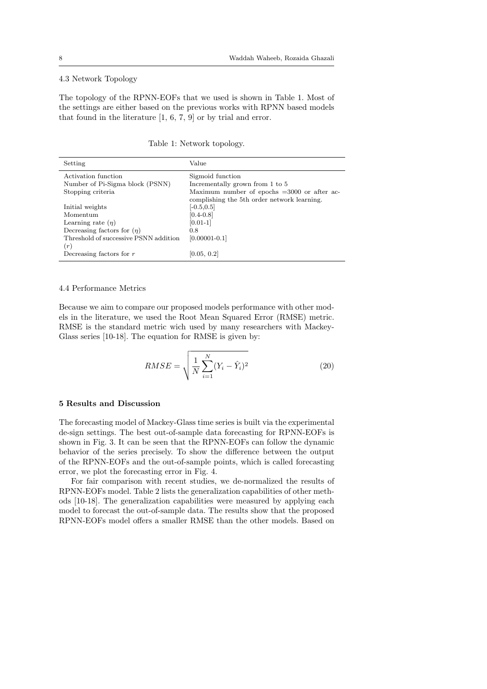#### 4.3 Network Topology

The topology of the RPNN-EOFs that we used is shown in Table 1. Most of the settings are either based on the previous works with RPNN based models that found in the literature [1, 6, 7, 9] or by trial and error.

Table 1: Network topology.

| Setting                               | Value                                                   |
|---------------------------------------|---------------------------------------------------------|
| Activation function                   | Sigmoid function                                        |
| Number of Pi-Sigma block (PSNN)       | Incrementally grown from 1 to 5                         |
| Stopping criteria                     | Maximum number of epochs $=3000$ or after ac-           |
|                                       | complishing the 5 <sup>th</sup> order network learning. |
| Initial weights                       | $[-0.5, 0.5]$                                           |
| Momentum                              | $[0.4 - 0.8]$                                           |
| Learning rate $(\eta)$                | $[0.01-1]$                                              |
| Decreasing factors for $(\eta)$       | 0.8                                                     |
| Threshold of successive PSNN addition | $[0.00001 - 0.1]$                                       |
| (r)                                   |                                                         |
| Decreasing factors for $r$            | [0.05, 0.2]                                             |

#### 4.4 Performance Metrics

Because we aim to compare our proposed models performance with other models in the literature, we used the Root Mean Squared Error (RMSE) metric. RMSE is the standard metric wich used by many researchers with Mackey-Glass series [10-18]. The equation for RMSE is given by:

$$
RMSE = \sqrt{\frac{1}{N} \sum_{i=1}^{N} (Y_i - \hat{Y}_i)^2}
$$
 (20)

#### 5 Results and Discussion

The forecasting model of Mackey-Glass time series is built via the experimental de-sign settings. The best out-of-sample data forecasting for RPNN-EOFs is shown in Fig. 3. It can be seen that the RPNN-EOFs can follow the dynamic behavior of the series precisely. To show the difference between the output of the RPNN-EOFs and the out-of-sample points, which is called forecasting error, we plot the forecasting error in Fig. 4.

For fair comparison with recent studies, we de-normalized the results of RPNN-EOFs model. Table 2 lists the generalization capabilities of other methods [10-18]. The generalization capabilities were measured by applying each model to forecast the out-of-sample data. The results show that the proposed RPNN-EOFs model offers a smaller RMSE than the other models. Based on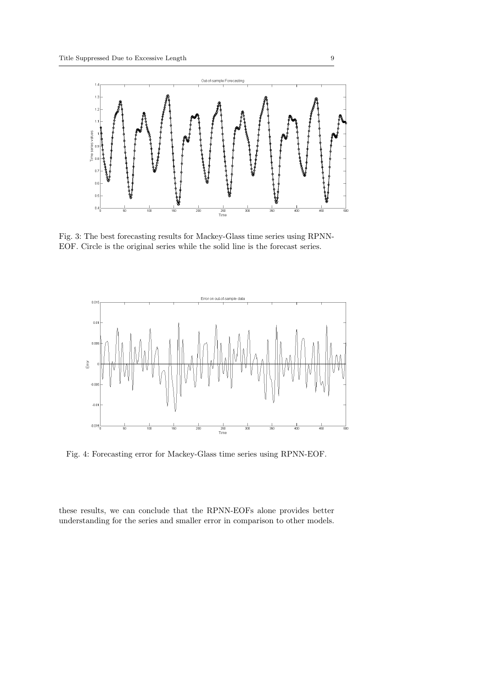

Fig. 3: The best forecasting results for Mackey-Glass time series using RPNN-EOF. Circle is the original series while the solid line is the forecast series.



Fig. 4: Forecasting error for Mackey-Glass time series using RPNN-EOF.

these results, we can conclude that the RPNN-EOFs alone provides better understanding for the series and smaller error in comparison to other models.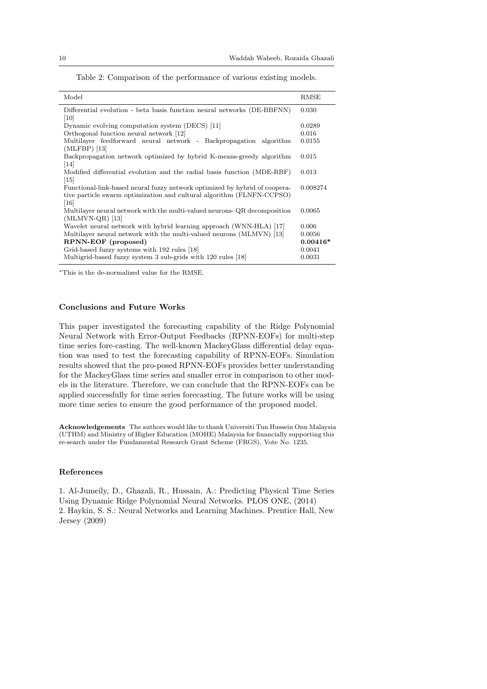|  | Table 2: Comparison of the performance of various existing models. |  |  |
|--|--------------------------------------------------------------------|--|--|
|  |                                                                    |  |  |

| Model                                                                      | RMSE       |
|----------------------------------------------------------------------------|------------|
| Differential evolution - beta basis function neural networks (DE-BBFNN)    | 0.030      |
| 10                                                                         |            |
| Dynamic evolving computation system (DECS) [11]                            | 0.0289     |
| Orthogonal function neural network [12]                                    | 0.016      |
| Multilayer feedforward neural network - Backpropagation algorithm          | 0.0155     |
| $(MLFBP)$ [13]                                                             |            |
| Backpropagation network optimized by hybrid K-means-greedy algorithm       | 0.015      |
| [14]                                                                       |            |
| Modified differential evolution and the radial basis function (MDE-RBF)    | 0.013      |
| $\left[15\right]$                                                          |            |
| Functional-link-based neural fuzzy network optimized by hybrid of coopera- | 0.008274   |
| tive particle swarm optimization and cultural algorithm (FLNFN-CCPSO)      |            |
| [16]                                                                       |            |
| Multilayer neural network with the multi-valued neurons- QR decomposition  | 0.0065     |
| $(MLMVN-QR)$ [13]                                                          |            |
| Wavelet neural network with hybrid learning approach (WNN-HLA) [17]        | 0.006      |
| Multilayer neural network with the multi-valued neurons (MLMVN) [13]       | 0.0056     |
| RPNN-EOF (proposed)                                                        | $0.00416*$ |
| Grid-based fuzzy systems with 192 rules [18]                               | 0.0041     |
| Multigrid-based fuzzy system 3 sub-grids with 120 rules [18]               | 0.0031     |
|                                                                            |            |

<sup>∗</sup>This is the de-normalized value for the RMSE.

#### Conclusions and Future Works

This paper investigated the forecasting capability of the Ridge Polynomial Neural Network with Error-Output Feedbacks (RPNN-EOFs) for multi-step time series fore-casting. The well-known MackeyGlass differential delay equation was used to test the forecasting capability of RPNN-EOFs. Simulation results showed that the pro-posed RPNN-EOFs provides better understanding for the MackeyGlass time series and smaller error in comparison to other models in the literature. Therefore, we can conclude that the RPNN-EOFs can be applied successfully for time series forecasting. The future works will be using more time series to ensure the good performance of the proposed model.

Acknowledgements The authors would like to thank Universiti Tun Hussein Onn Malaysia (UTHM) and Ministry of Higher Education (MOHE) Malaysia for financially supporting this re-search under the Fundamental Research Grant Scheme (FRGS), Vote No. 1235.

#### References

1. Al-Jumeily, D., Ghazali, R., Hussain, A.: Predicting Physical Time Series Using Dynamic Ridge Polynomial Neural Networks. PLOS ONE, (2014) 2. Haykin, S. S.: Neural Networks and Learning Machines. Prentice Hall, New Jersey (2009)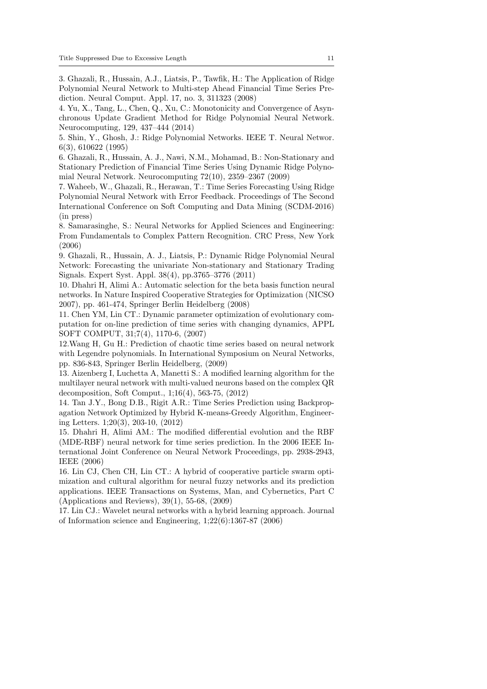3. Ghazali, R., Hussain, A.J., Liatsis, P., Tawfik, H.: The Application of Ridge Polynomial Neural Network to Multi-step Ahead Financial Time Series Prediction. Neural Comput. Appl. 17, no. 3, 311323 (2008)

4. Yu, X., Tang, L., Chen, Q., Xu, C.: Monotonicity and Convergence of Asynchronous Update Gradient Method for Ridge Polynomial Neural Network. Neurocomputing, 129, 437–444 (2014)

5. Shin, Y., Ghosh, J.: Ridge Polynomial Networks. IEEE T. Neural Networ. 6(3), 610622 (1995)

6. Ghazali, R., Hussain, A. J., Nawi, N.M., Mohamad, B.: Non-Stationary and Stationary Prediction of Financial Time Series Using Dynamic Ridge Polynomial Neural Network. Neurocomputing 72(10), 2359–2367 (2009)

7. Waheeb, W., Ghazali, R., Herawan, T.: Time Series Forecasting Using Ridge Polynomial Neural Network with Error Feedback. Proceedings of The Second International Conference on Soft Computing and Data Mining (SCDM-2016) (in press)

8. Samarasinghe, S.: Neural Networks for Applied Sciences and Engineering: From Fundamentals to Complex Pattern Recognition. CRC Press, New York (2006)

9. Ghazali, R., Hussain, A. J., Liatsis, P.: Dynamic Ridge Polynomial Neural Network: Forecasting the univariate Non-stationary and Stationary Trading Signals. Expert Syst. Appl. 38(4), pp.3765–3776 (2011)

10. Dhahri H, Alimi A.: Automatic selection for the beta basis function neural networks. In Nature Inspired Cooperative Strategies for Optimization (NICSO 2007), pp. 461-474, Springer Berlin Heidelberg (2008)

11. Chen YM, Lin CT.: Dynamic parameter optimization of evolutionary computation for on-line prediction of time series with changing dynamics, APPL SOFT COMPUT, 31;7(4), 1170-6, (2007)

12.Wang H, Gu H.: Prediction of chaotic time series based on neural network with Legendre polynomials. In International Symposium on Neural Networks, pp. 836-843, Springer Berlin Heidelberg, (2009)

13. Aizenberg I, Luchetta A, Manetti S.: A modified learning algorithm for the multilayer neural network with multi-valued neurons based on the complex QR decomposition, Soft Comput., 1;16(4), 563-75, (2012)

14. Tan J.Y., Bong D.B., Rigit A.R.: Time Series Prediction using Backpropagation Network Optimized by Hybrid K-means-Greedy Algorithm, Engineering Letters. 1;20(3), 203-10, (2012)

15. Dhahri H, Alimi AM.: The modified differential evolution and the RBF (MDE-RBF) neural network for time series prediction. In the 2006 IEEE International Joint Conference on Neural Network Proceedings, pp. 2938-2943, IEEE (2006)

16. Lin CJ, Chen CH, Lin CT.: A hybrid of cooperative particle swarm optimization and cultural algorithm for neural fuzzy networks and its prediction applications. IEEE Transactions on Systems, Man, and Cybernetics, Part C (Applications and Reviews), 39(1), 55-68, (2009)

17. Lin CJ.: Wavelet neural networks with a hybrid learning approach. Journal of Information science and Engineering, 1;22(6):1367-87 (2006)